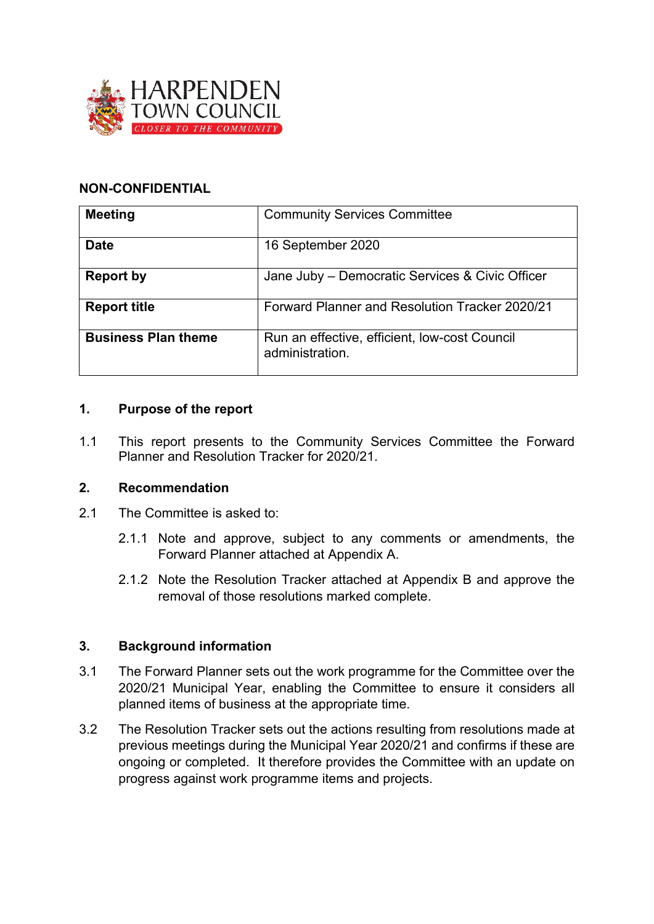

#### **NON-CONFIDENTIAL**

| <b>Meeting</b>             | <b>Community Services Committee</b>                              |
|----------------------------|------------------------------------------------------------------|
| <b>Date</b>                | 16 September 2020                                                |
| Report by                  | Jane Juby - Democratic Services & Civic Officer                  |
| <b>Report title</b>        | Forward Planner and Resolution Tracker 2020/21                   |
| <b>Business Plan theme</b> | Run an effective, efficient, low-cost Council<br>administration. |

#### **1. Purpose of the report**

1.1 This report presents to the Community Services Committee the Forward Planner and Resolution Tracker for 2020/21.

#### **2. Recommendation**

- 2.1 The Committee is asked to:
	- 2.1.1 Note and approve, subject to any comments or amendments, the Forward Planner attached at Appendix A.
	- 2.1.2 Note the Resolution Tracker attached at Appendix B and approve the removal of those resolutions marked complete.

#### **3. Background information**

- 3.1 The Forward Planner sets out the work programme for the Committee over the 2020/21 Municipal Year, enabling the Committee to ensure it considers all planned items of business at the appropriate time.
- 3.2 The Resolution Tracker sets out the actions resulting from resolutions made at previous meetings during the Municipal Year 2020/21 and confirms if these are ongoing or completed. It therefore provides the Committee with an update on progress against work programme items and projects.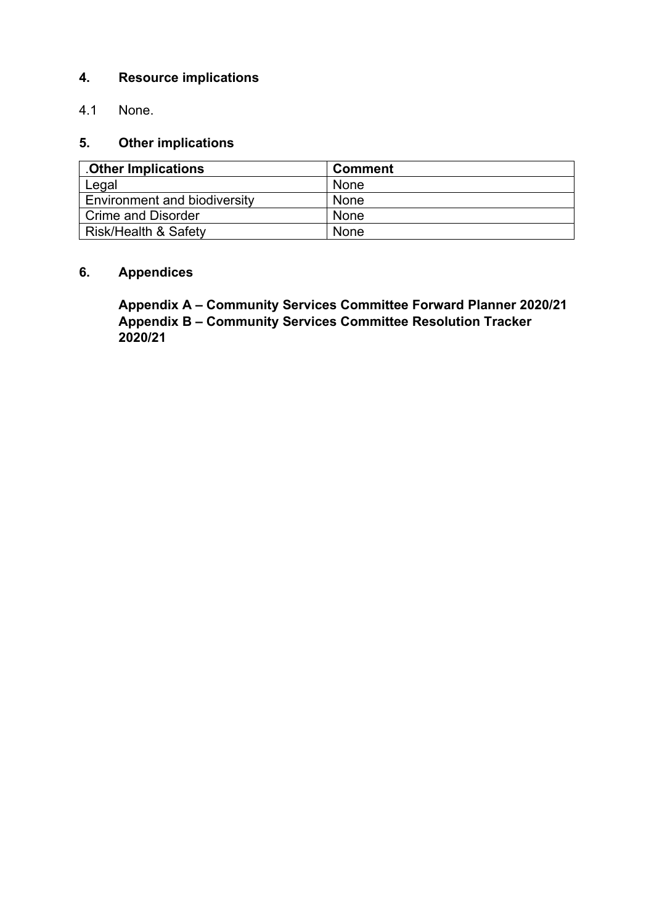### **4. Resource implications**

4.1 None.

### **5. Other implications**

| <b>Other Implications</b>           | <b>Comment</b> |
|-------------------------------------|----------------|
| Legal                               | <b>None</b>    |
| <b>Environment and biodiversity</b> | None           |
| <b>Crime and Disorder</b>           | None           |
| <b>Risk/Health &amp; Safety</b>     | None           |

## **6. Appendices**

**Appendix A – Community Services Committee Forward Planner 2020/21 Appendix B – Community Services Committee Resolution Tracker 2020/21**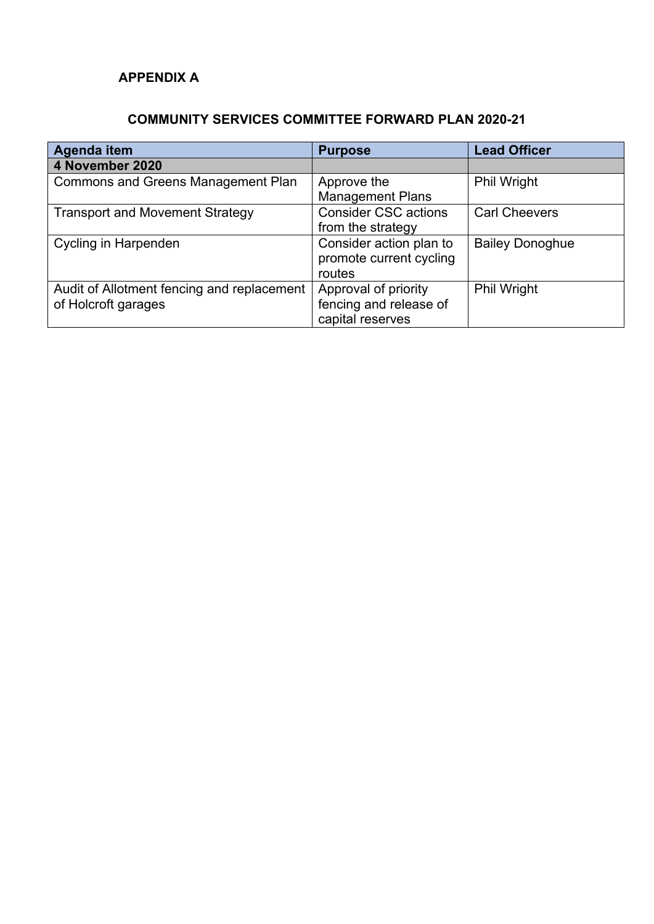## **APPENDIX A**

## **COMMUNITY SERVICES COMMITTEE FORWARD PLAN 2020-21**

| <b>Agenda item</b>                         | <b>Purpose</b>              | <b>Lead Officer</b>    |
|--------------------------------------------|-----------------------------|------------------------|
| 4 November 2020                            |                             |                        |
| <b>Commons and Greens Management Plan</b>  | Approve the                 | <b>Phil Wright</b>     |
|                                            | <b>Management Plans</b>     |                        |
| <b>Transport and Movement Strategy</b>     | <b>Consider CSC actions</b> | <b>Carl Cheevers</b>   |
|                                            | from the strategy           |                        |
| Cycling in Harpenden                       | Consider action plan to     | <b>Bailey Donoghue</b> |
|                                            | promote current cycling     |                        |
|                                            | routes                      |                        |
| Audit of Allotment fencing and replacement | Approval of priority        | <b>Phil Wright</b>     |
| of Holcroft garages                        | fencing and release of      |                        |
|                                            | capital reserves            |                        |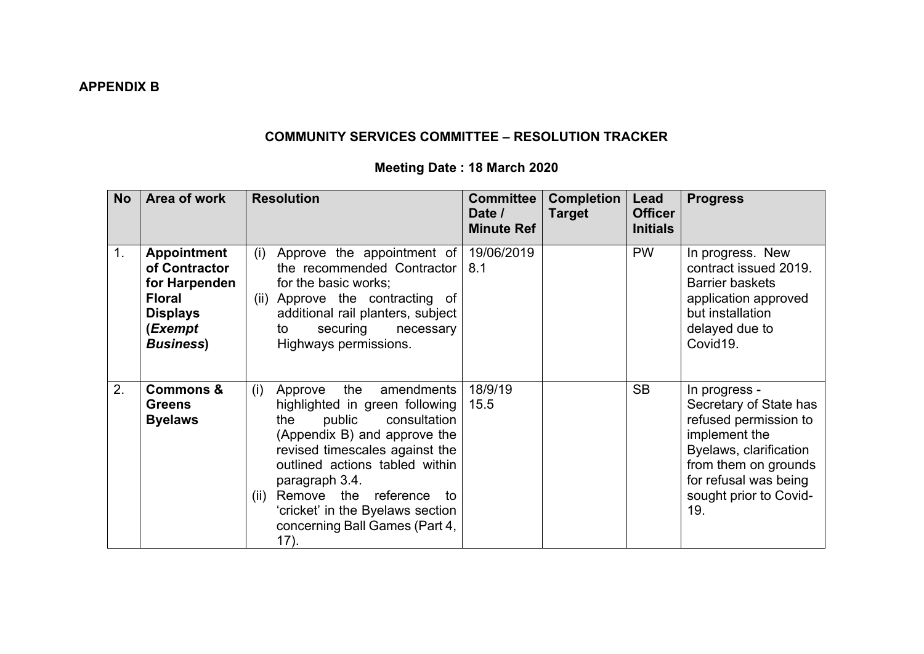# **COMMUNITY SERVICES COMMITTEE – RESOLUTION TRACKER**

# **Meeting Date : 18 March 2020**

| <b>No</b>      | Area of work                                                                                                             | <b>Resolution</b>                                                                                                                                                                                                                                                                                                                                | <b>Committee</b><br>Date /<br><b>Minute Ref</b> | <b>Completion</b><br><b>Target</b> | Lead<br><b>Officer</b><br><b>Initials</b> | <b>Progress</b>                                                                                                                                                                               |
|----------------|--------------------------------------------------------------------------------------------------------------------------|--------------------------------------------------------------------------------------------------------------------------------------------------------------------------------------------------------------------------------------------------------------------------------------------------------------------------------------------------|-------------------------------------------------|------------------------------------|-------------------------------------------|-----------------------------------------------------------------------------------------------------------------------------------------------------------------------------------------------|
| 1 <sub>1</sub> | <b>Appointment</b><br>of Contractor<br>for Harpenden<br><b>Floral</b><br><b>Displays</b><br>(Exempt<br><b>Business</b> ) | Approve the appointment of<br>(i)<br>the recommended Contractor<br>for the basic works:<br>(ii) Approve the contracting of<br>additional rail planters, subject<br>securing<br>necessary<br>to<br>Highways permissions.                                                                                                                          | 19/06/2019<br>8.1                               |                                    | <b>PW</b>                                 | In progress. New<br>contract issued 2019.<br><b>Barrier baskets</b><br>application approved<br>but installation<br>delayed due to<br>Covid19.                                                 |
| 2.             | <b>Commons &amp;</b><br><b>Greens</b><br><b>Byelaws</b>                                                                  | the<br>(i)<br>amendments<br>Approve<br>highlighted in green following<br>public<br>consultation<br>the<br>(Appendix B) and approve the<br>revised timescales against the<br>outlined actions tabled within<br>paragraph 3.4.<br>Remove the<br>reference to<br>(ii)<br>'cricket' in the Byelaws section<br>concerning Ball Games (Part 4,<br>17). | 18/9/19<br>15.5                                 |                                    | <b>SB</b>                                 | In progress -<br>Secretary of State has<br>refused permission to<br>implement the<br>Byelaws, clarification<br>from them on grounds<br>for refusal was being<br>sought prior to Covid-<br>19. |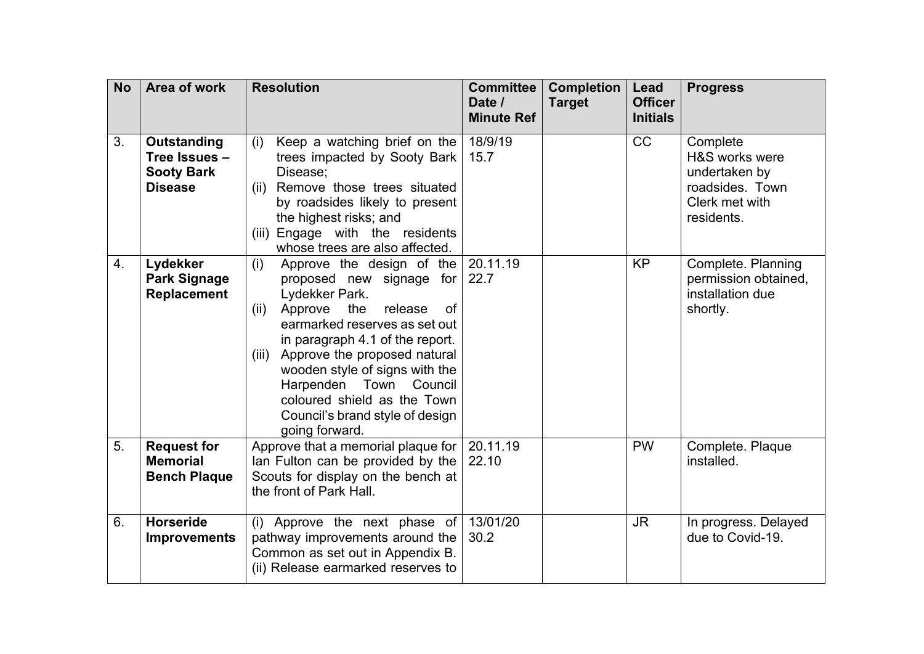| <b>No</b> | Area of work                                                        | <b>Resolution</b>                                                                                                                                                                                                                                                                                                                                                                                | <b>Committee</b><br>Date /<br><b>Minute Ref</b> | <b>Completion</b><br><b>Target</b> | Lead<br><b>Officer</b><br><b>Initials</b> | <b>Progress</b>                                                                                |
|-----------|---------------------------------------------------------------------|--------------------------------------------------------------------------------------------------------------------------------------------------------------------------------------------------------------------------------------------------------------------------------------------------------------------------------------------------------------------------------------------------|-------------------------------------------------|------------------------------------|-------------------------------------------|------------------------------------------------------------------------------------------------|
| 3.        | Outstanding<br>Tree Issues -<br><b>Sooty Bark</b><br><b>Disease</b> | Keep a watching brief on the<br>(i)<br>trees impacted by Sooty Bark<br>Disease;<br>Remove those trees situated<br>(ii)<br>by roadsides likely to present<br>the highest risks; and<br>(iii) Engage with the residents<br>whose trees are also affected.                                                                                                                                          | 18/9/19<br>15.7                                 |                                    | CC                                        | Complete<br>H&S works were<br>undertaken by<br>roadsides. Town<br>Clerk met with<br>residents. |
| 4.        | Lydekker<br><b>Park Signage</b><br><b>Replacement</b>               | (i)<br>Approve the design of the<br>proposed new signage for<br>Lydekker Park.<br>Approve<br>the<br>release<br><b>of</b><br>(ii)<br>earmarked reserves as set out<br>in paragraph 4.1 of the report.<br>Approve the proposed natural<br>(iii)<br>wooden style of signs with the<br>Harpenden Town<br>Council<br>coloured shield as the Town<br>Council's brand style of design<br>going forward. | 20.11.19<br>22.7                                |                                    | <b>KP</b>                                 | Complete. Planning<br>permission obtained,<br>installation due<br>shortly.                     |
| 5.        | <b>Request for</b><br><b>Memorial</b><br><b>Bench Plaque</b>        | Approve that a memorial plaque for<br>lan Fulton can be provided by the<br>Scouts for display on the bench at<br>the front of Park Hall.                                                                                                                                                                                                                                                         | 20.11.19<br>22.10                               |                                    | <b>PW</b>                                 | Complete. Plaque<br>installed.                                                                 |
| 6.        | <b>Horseride</b><br><b>Improvements</b>                             | Approve the next phase of<br>(i)<br>pathway improvements around the<br>Common as set out in Appendix B.<br>(ii) Release earmarked reserves to                                                                                                                                                                                                                                                    | 13/01/20<br>30.2                                |                                    | <b>JR</b>                                 | In progress. Delayed<br>due to Covid-19.                                                       |